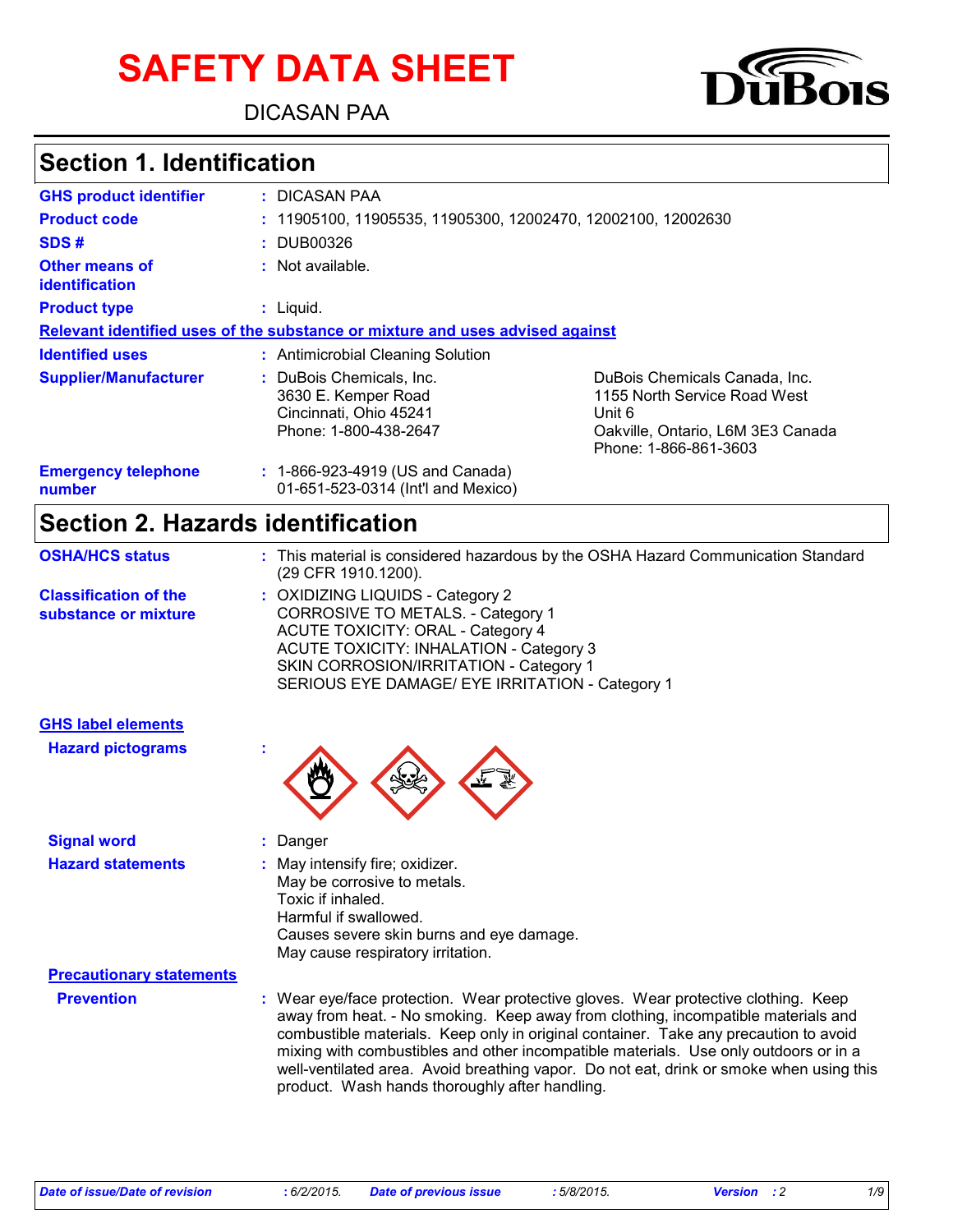# **SAFETY DATA SHEET**

DICASAN PAA



## **Section 1. Identification**

| <b>GHS product identifier</b>           | : DICASAN PAA                                                                                      |                                                                                                                                       |  |  |
|-----------------------------------------|----------------------------------------------------------------------------------------------------|---------------------------------------------------------------------------------------------------------------------------------------|--|--|
| <b>Product code</b>                     | $: 11905100, 11905535, 11905300, 12002470, 12002100, 12002630$                                     |                                                                                                                                       |  |  |
| SDS#                                    | : DUB00326                                                                                         |                                                                                                                                       |  |  |
| Other means of<br><i>identification</i> | $:$ Not available.                                                                                 |                                                                                                                                       |  |  |
| <b>Product type</b>                     | $:$ Liquid.                                                                                        |                                                                                                                                       |  |  |
|                                         | Relevant identified uses of the substance or mixture and uses advised against                      |                                                                                                                                       |  |  |
| <b>Identified uses</b>                  | : Antimicrobial Cleaning Solution                                                                  |                                                                                                                                       |  |  |
| <b>Supplier/Manufacturer</b>            | : DuBois Chemicals, Inc.<br>3630 E. Kemper Road<br>Cincinnati, Ohio 45241<br>Phone: 1-800-438-2647 | DuBois Chemicals Canada, Inc.<br>1155 North Service Road West<br>Unit 6<br>Oakville, Ontario, L6M 3E3 Canada<br>Phone: 1-866-861-3603 |  |  |
| <b>Emergency telephone</b><br>number    | $: 1-866-923-4919$ (US and Canada)<br>01-651-523-0314 (Int'l and Mexico)                           |                                                                                                                                       |  |  |

#### **Section 2. Hazards identification**

| <b>OSHA/HCS status</b>                               | : This material is considered hazardous by the OSHA Hazard Communication Standard<br>(29 CFR 1910.1200).                                                                                                                                                  |
|------------------------------------------------------|-----------------------------------------------------------------------------------------------------------------------------------------------------------------------------------------------------------------------------------------------------------|
| <b>Classification of the</b><br>substance or mixture | : OXIDIZING LIQUIDS - Category 2<br>CORROSIVE TO METALS. - Category 1<br><b>ACUTE TOXICITY: ORAL - Category 4</b><br>ACUTE TOXICITY: INHALATION - Category 3<br>SKIN CORROSION/IRRITATION - Category 1<br>SERIOUS EYE DAMAGE/ EYE IRRITATION - Category 1 |
| <b>GHS label elements</b>                            |                                                                                                                                                                                                                                                           |

| <b>Signal word</b>              | $:$ Danger                                                                                                                                                                                                                                                      |
|---------------------------------|-----------------------------------------------------------------------------------------------------------------------------------------------------------------------------------------------------------------------------------------------------------------|
| <b>Hazard statements</b>        | $\therefore$ May intensify fire; oxidizer.<br>May be corrosive to metals.<br>Toxic if inhaled.<br>Harmful if swallowed.<br>Causes severe skin burns and eye damage.<br>May cause respiratory irritation.                                                        |
| <b>Precautionary statements</b> |                                                                                                                                                                                                                                                                 |
| <b>Prevention</b>               | : Wear eye/face protection. Wear protective gloves. Wear protective clothing. Keep<br>away from heat. - No smoking. Keep away from clothing, incompatible materials and<br>combustible materials. Keep only in original container. Take any precaution to avoid |

product. Wash hands thoroughly after handling.

**Hazard pictograms :**

mixing with combustibles and other incompatible materials. Use only outdoors or in a well-ventilated area. Avoid breathing vapor. Do not eat, drink or smoke when using this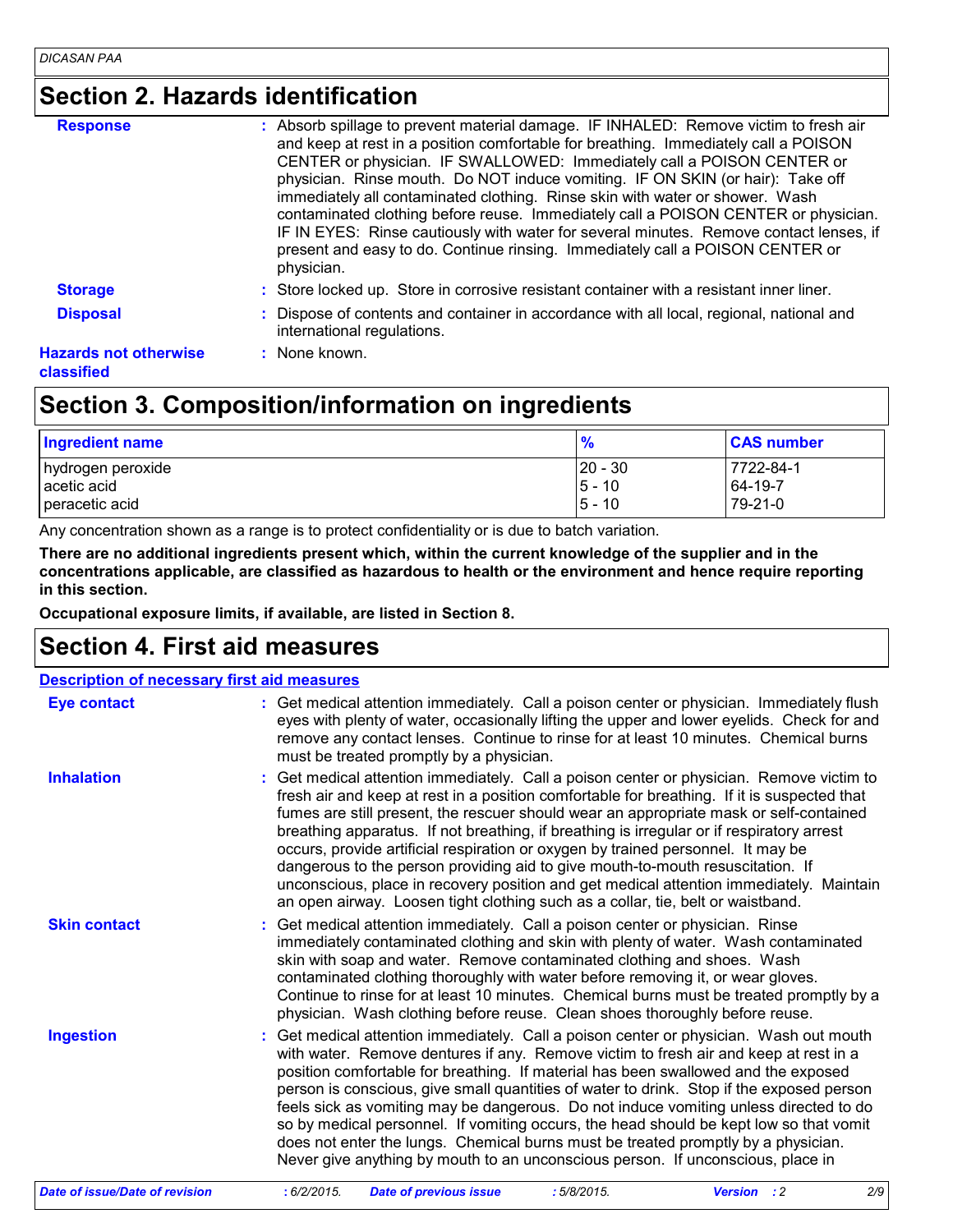## **Section 2. Hazards identification**

| <b>Response</b>              | : Absorb spillage to prevent material damage. IF INHALED: Remove victim to fresh air<br>and keep at rest in a position comfortable for breathing. Immediately call a POISON<br>CENTER or physician. IF SWALLOWED: Immediately call a POISON CENTER or<br>physician. Rinse mouth. Do NOT induce vomiting. IF ON SKIN (or hair): Take off<br>immediately all contaminated clothing. Rinse skin with water or shower. Wash<br>contaminated clothing before reuse. Immediately call a POISON CENTER or physician.<br>IF IN EYES: Rinse cautiously with water for several minutes. Remove contact lenses, if<br>present and easy to do. Continue rinsing. Immediately call a POISON CENTER or<br>physician. |
|------------------------------|--------------------------------------------------------------------------------------------------------------------------------------------------------------------------------------------------------------------------------------------------------------------------------------------------------------------------------------------------------------------------------------------------------------------------------------------------------------------------------------------------------------------------------------------------------------------------------------------------------------------------------------------------------------------------------------------------------|
| <b>Storage</b>               | : Store locked up. Store in corrosive resistant container with a resistant inner liner.                                                                                                                                                                                                                                                                                                                                                                                                                                                                                                                                                                                                                |
| <b>Disposal</b>              | : Dispose of contents and container in accordance with all local, regional, national and<br>international regulations.                                                                                                                                                                                                                                                                                                                                                                                                                                                                                                                                                                                 |
| <b>Hazards not otherwise</b> | : None known.                                                                                                                                                                                                                                                                                                                                                                                                                                                                                                                                                                                                                                                                                          |
|                              |                                                                                                                                                                                                                                                                                                                                                                                                                                                                                                                                                                                                                                                                                                        |

#### **classified**

## **Section 3. Composition/information on ingredients**

| <b>Ingredient name</b> | $\frac{9}{6}$ | <b>CAS number</b> |
|------------------------|---------------|-------------------|
| hydrogen peroxide      | $20 - 30$     | 7722-84-1         |
| acetic acid            | $5 - 10$      | 64-19-7           |
| peracetic acid         | $5 - 10$      | 79-21-0           |

Any concentration shown as a range is to protect confidentiality or is due to batch variation.

**There are no additional ingredients present which, within the current knowledge of the supplier and in the concentrations applicable, are classified as hazardous to health or the environment and hence require reporting in this section.**

**Occupational exposure limits, if available, are listed in Section 8.**

#### **Section 4. First aid measures**

#### **Description of necessary first aid measures**

| <b>Eye contact</b>             | : Get medical attention immediately. Call a poison center or physician. Immediately flush<br>eyes with plenty of water, occasionally lifting the upper and lower eyelids. Check for and<br>remove any contact lenses. Continue to rinse for at least 10 minutes. Chemical burns<br>must be treated promptly by a physician.                                                                                                                                                                                                                                                                                                                                                                                                        |
|--------------------------------|------------------------------------------------------------------------------------------------------------------------------------------------------------------------------------------------------------------------------------------------------------------------------------------------------------------------------------------------------------------------------------------------------------------------------------------------------------------------------------------------------------------------------------------------------------------------------------------------------------------------------------------------------------------------------------------------------------------------------------|
| <b>Inhalation</b>              | : Get medical attention immediately. Call a poison center or physician. Remove victim to<br>fresh air and keep at rest in a position comfortable for breathing. If it is suspected that<br>fumes are still present, the rescuer should wear an appropriate mask or self-contained<br>breathing apparatus. If not breathing, if breathing is irregular or if respiratory arrest<br>occurs, provide artificial respiration or oxygen by trained personnel. It may be<br>dangerous to the person providing aid to give mouth-to-mouth resuscitation. If<br>unconscious, place in recovery position and get medical attention immediately. Maintain<br>an open airway. Loosen tight clothing such as a collar, tie, belt or waistband. |
| <b>Skin contact</b>            | : Get medical attention immediately. Call a poison center or physician. Rinse<br>immediately contaminated clothing and skin with plenty of water. Wash contaminated<br>skin with soap and water. Remove contaminated clothing and shoes. Wash<br>contaminated clothing thoroughly with water before removing it, or wear gloves.<br>Continue to rinse for at least 10 minutes. Chemical burns must be treated promptly by a<br>physician. Wash clothing before reuse. Clean shoes thoroughly before reuse.                                                                                                                                                                                                                         |
| <b>Ingestion</b>               | : Get medical attention immediately. Call a poison center or physician. Wash out mouth<br>with water. Remove dentures if any. Remove victim to fresh air and keep at rest in a<br>position comfortable for breathing. If material has been swallowed and the exposed<br>person is conscious, give small quantities of water to drink. Stop if the exposed person<br>feels sick as vomiting may be dangerous. Do not induce vomiting unless directed to do<br>so by medical personnel. If vomiting occurs, the head should be kept low so that vomit<br>does not enter the lungs. Chemical burns must be treated promptly by a physician.<br>Never give anything by mouth to an unconscious person. If unconscious, place in        |
| Date of issue/Date of revision | : 6/2/2015.<br>:5/8/2015.<br>2/9<br><b>Date of previous issue</b><br><b>Version</b> : 2                                                                                                                                                                                                                                                                                                                                                                                                                                                                                                                                                                                                                                            |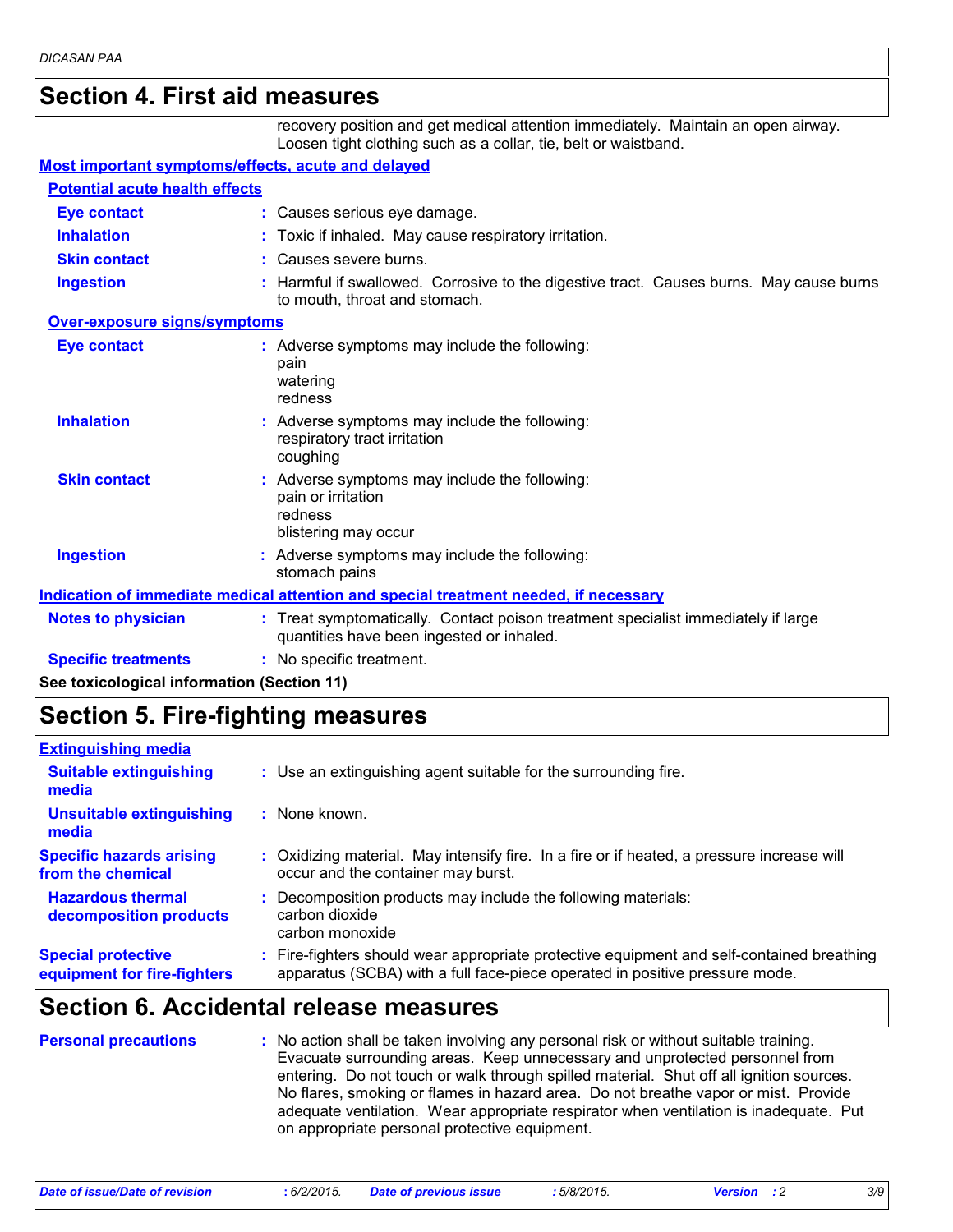#### **Section 4. First aid measures**

recovery position and get medical attention immediately. Maintain an open airway. Loosen tight clothing such as a collar, tie, belt or waistband.

#### **Most important symptoms/effects, acute and delayed**

| <b>Potential acute health effects</b>      |                                                                                                                                |
|--------------------------------------------|--------------------------------------------------------------------------------------------------------------------------------|
| <b>Eye contact</b>                         | : Causes serious eye damage.                                                                                                   |
| <b>Inhalation</b>                          | : Toxic if inhaled. May cause respiratory irritation.                                                                          |
| <b>Skin contact</b>                        | : Causes severe burns.                                                                                                         |
| <b>Ingestion</b>                           | : Harmful if swallowed. Corrosive to the digestive tract. Causes burns. May cause burns<br>to mouth, throat and stomach.       |
| Over-exposure signs/symptoms               |                                                                                                                                |
| <b>Eye contact</b>                         | : Adverse symptoms may include the following:<br>pain<br>watering<br>redness                                                   |
| <b>Inhalation</b>                          | : Adverse symptoms may include the following:<br>respiratory tract irritation<br>coughing                                      |
| <b>Skin contact</b>                        | : Adverse symptoms may include the following:<br>pain or irritation<br>redness<br>blistering may occur                         |
| <b>Ingestion</b>                           | : Adverse symptoms may include the following:<br>stomach pains                                                                 |
|                                            | <b>Indication of immediate medical attention and special treatment needed, if necessary</b>                                    |
| <b>Notes to physician</b>                  | : Treat symptomatically. Contact poison treatment specialist immediately if large<br>quantities have been ingested or inhaled. |
| <b>Specific treatments</b>                 | : No specific treatment.                                                                                                       |
| See toxicological information (Section 11) |                                                                                                                                |

#### **Section 5. Fire-fighting measures**

| <b>Extinguishing media</b>                               |                                                                                                                                                                        |
|----------------------------------------------------------|------------------------------------------------------------------------------------------------------------------------------------------------------------------------|
| <b>Suitable extinguishing</b><br>media                   | : Use an extinguishing agent suitable for the surrounding fire.                                                                                                        |
| <b>Unsuitable extinguishing</b><br>media                 | : None known.                                                                                                                                                          |
| <b>Specific hazards arising</b><br>from the chemical     | : Oxidizing material. May intensify fire. In a fire or if heated, a pressure increase will<br>occur and the container may burst.                                       |
| <b>Hazardous thermal</b><br>decomposition products       | Decomposition products may include the following materials:<br>carbon dioxide<br>carbon monoxide                                                                       |
| <b>Special protective</b><br>equipment for fire-fighters | Fire-fighters should wear appropriate protective equipment and self-contained breathing<br>apparatus (SCBA) with a full face-piece operated in positive pressure mode. |

#### **Section 6. Accidental release measures**

| <b>Personal precautions</b> | : No action shall be taken involving any personal risk or without suitable training.<br>Evacuate surrounding areas. Keep unnecessary and unprotected personnel from<br>entering. Do not touch or walk through spilled material. Shut off all ignition sources.<br>No flares, smoking or flames in hazard area. Do not breathe vapor or mist. Provide<br>adequate ventilation. Wear appropriate respirator when ventilation is inadequate. Put<br>on appropriate personal protective equipment. |
|-----------------------------|------------------------------------------------------------------------------------------------------------------------------------------------------------------------------------------------------------------------------------------------------------------------------------------------------------------------------------------------------------------------------------------------------------------------------------------------------------------------------------------------|
|-----------------------------|------------------------------------------------------------------------------------------------------------------------------------------------------------------------------------------------------------------------------------------------------------------------------------------------------------------------------------------------------------------------------------------------------------------------------------------------------------------------------------------------|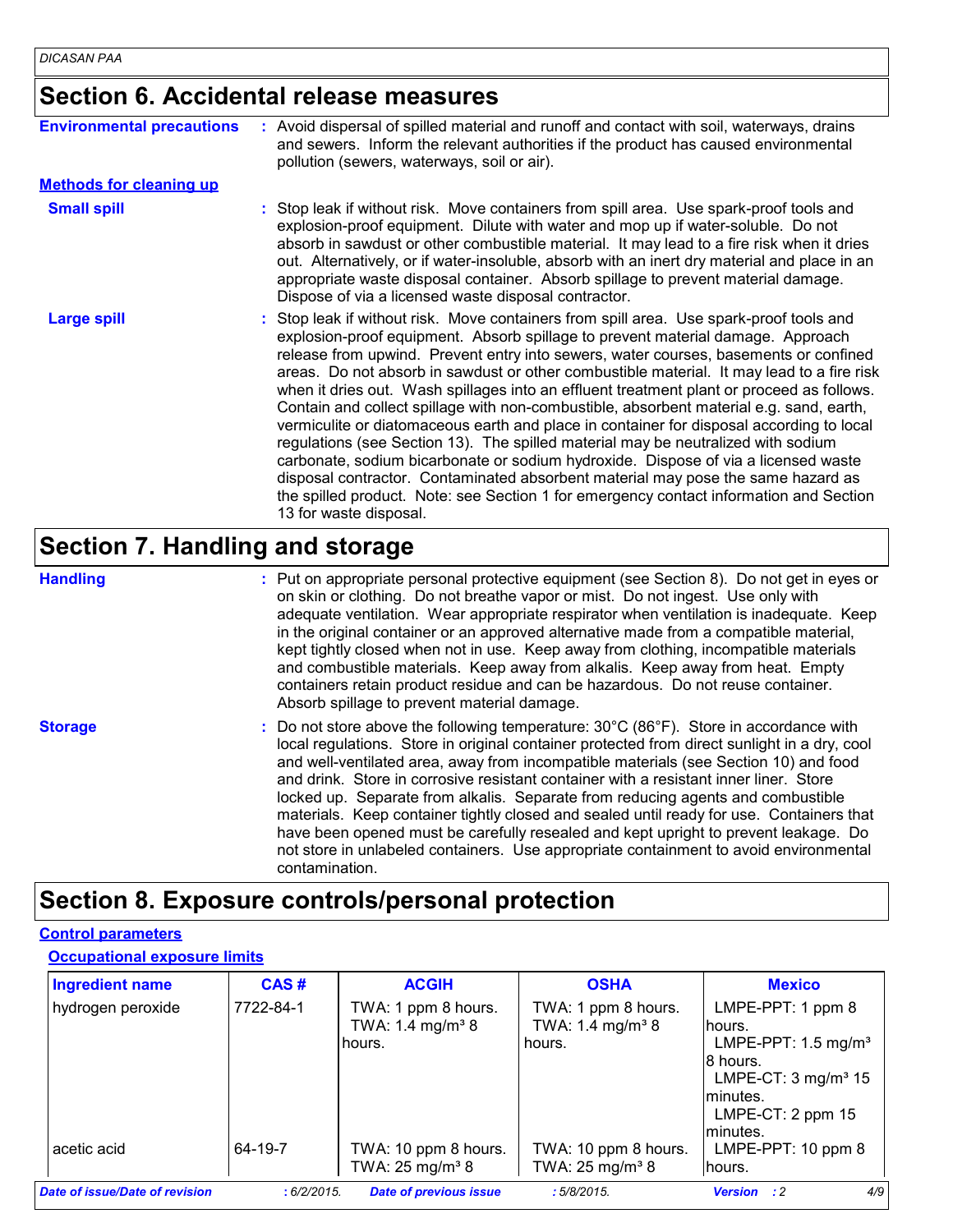#### **Section 6. Accidental release measures**

| <b>Environmental precautions</b> | : Avoid dispersal of spilled material and runoff and contact with soil, waterways, drains<br>and sewers. Inform the relevant authorities if the product has caused environmental<br>pollution (sewers, waterways, soil or air).                                                                                                                                                                                                                                                                                                                                                                                                                                                                                                                                                                                                                                                                                                                                                                                                        |  |  |
|----------------------------------|----------------------------------------------------------------------------------------------------------------------------------------------------------------------------------------------------------------------------------------------------------------------------------------------------------------------------------------------------------------------------------------------------------------------------------------------------------------------------------------------------------------------------------------------------------------------------------------------------------------------------------------------------------------------------------------------------------------------------------------------------------------------------------------------------------------------------------------------------------------------------------------------------------------------------------------------------------------------------------------------------------------------------------------|--|--|
| <b>Methods for cleaning up</b>   |                                                                                                                                                                                                                                                                                                                                                                                                                                                                                                                                                                                                                                                                                                                                                                                                                                                                                                                                                                                                                                        |  |  |
| <b>Small spill</b>               | : Stop leak if without risk. Move containers from spill area. Use spark-proof tools and<br>explosion-proof equipment. Dilute with water and mop up if water-soluble. Do not<br>absorb in sawdust or other combustible material. It may lead to a fire risk when it dries<br>out. Alternatively, or if water-insoluble, absorb with an inert dry material and place in an<br>appropriate waste disposal container. Absorb spillage to prevent material damage.<br>Dispose of via a licensed waste disposal contractor.                                                                                                                                                                                                                                                                                                                                                                                                                                                                                                                  |  |  |
| <b>Large spill</b>               | : Stop leak if without risk. Move containers from spill area. Use spark-proof tools and<br>explosion-proof equipment. Absorb spillage to prevent material damage. Approach<br>release from upwind. Prevent entry into sewers, water courses, basements or confined<br>areas. Do not absorb in sawdust or other combustible material. It may lead to a fire risk<br>when it dries out. Wash spillages into an effluent treatment plant or proceed as follows.<br>Contain and collect spillage with non-combustible, absorbent material e.g. sand, earth,<br>vermiculite or diatomaceous earth and place in container for disposal according to local<br>regulations (see Section 13). The spilled material may be neutralized with sodium<br>carbonate, sodium bicarbonate or sodium hydroxide. Dispose of via a licensed waste<br>disposal contractor. Contaminated absorbent material may pose the same hazard as<br>the spilled product. Note: see Section 1 for emergency contact information and Section<br>13 for waste disposal. |  |  |

#### **Section 7. Handling and storage**

**Handling** entries a metal on appropriate personal protective equipment (see Section 8). Do not get in eyes or and on skin or clothing. Do not breathe vapor or mist. Do not ingest. Use only with adequate ventilation. Wear appropriate respirator when ventilation is inadequate. Keep in the original container or an approved alternative made from a compatible material, kept tightly closed when not in use. Keep away from clothing, incompatible materials and combustible materials. Keep away from alkalis. Keep away from heat. Empty containers retain product residue and can be hazardous. Do not reuse container. Absorb spillage to prevent material damage.

**Storage** The Subsett Constant of the following temperature: 30°C (86°F). Store in accordance with state of the Subsett Constant of the Subsett Constant of the Subsett Constant of the Subsett Constant of the Subsett Consta local regulations. Store in original container protected from direct sunlight in a dry, cool and well-ventilated area, away from incompatible materials (see Section 10) and food and drink. Store in corrosive resistant container with a resistant inner liner. Store locked up. Separate from alkalis. Separate from reducing agents and combustible materials. Keep container tightly closed and sealed until ready for use. Containers that have been opened must be carefully resealed and kept upright to prevent leakage. Do not store in unlabeled containers. Use appropriate containment to avoid environmental contamination.

#### **Section 8. Exposure controls/personal protection**

#### **Control parameters**

#### **Occupational exposure limits**

| <b>Ingredient name</b>         | CAS#       | <b>ACGIH</b>                                                  | <b>OSHA</b>                                                   | <b>Mexico</b>                                                                                                                                                   |
|--------------------------------|------------|---------------------------------------------------------------|---------------------------------------------------------------|-----------------------------------------------------------------------------------------------------------------------------------------------------------------|
| hydrogen peroxide              | 7722-84-1  | TWA: 1 ppm 8 hours.<br>TWA: 1.4 mg/m <sup>3</sup> 8<br>hours. | TWA: 1 ppm 8 hours.<br>TWA: 1.4 mg/m <sup>3</sup> 8<br>hours. | LMPE-PPT: 1 ppm 8<br>hours.<br>LMPE-PPT: 1.5 mg/m <sup>3</sup><br>8 hours.<br>LMPE-CT: $3 \text{ mg/m}^3$ 15<br>lminutes.<br>LMPE-CT: $2$ ppm $15$<br>lminutes. |
| acetic acid                    | 64-19-7    | TWA: 10 ppm 8 hours.<br>TWA: $25 \text{ mg/m}^3$ 8            | TWA: 10 ppm 8 hours.<br>TWA: $25 \text{ mg/m}^3$ 8            | LMPE-PPT: $10$ ppm $8$<br>lhours.                                                                                                                               |
| Date of issue/Date of revision | :6/2/2015. | <b>Date of previous issue</b>                                 | :5/8/2015                                                     | 4/9<br><b>Version</b><br>$\cdot$ :2                                                                                                                             |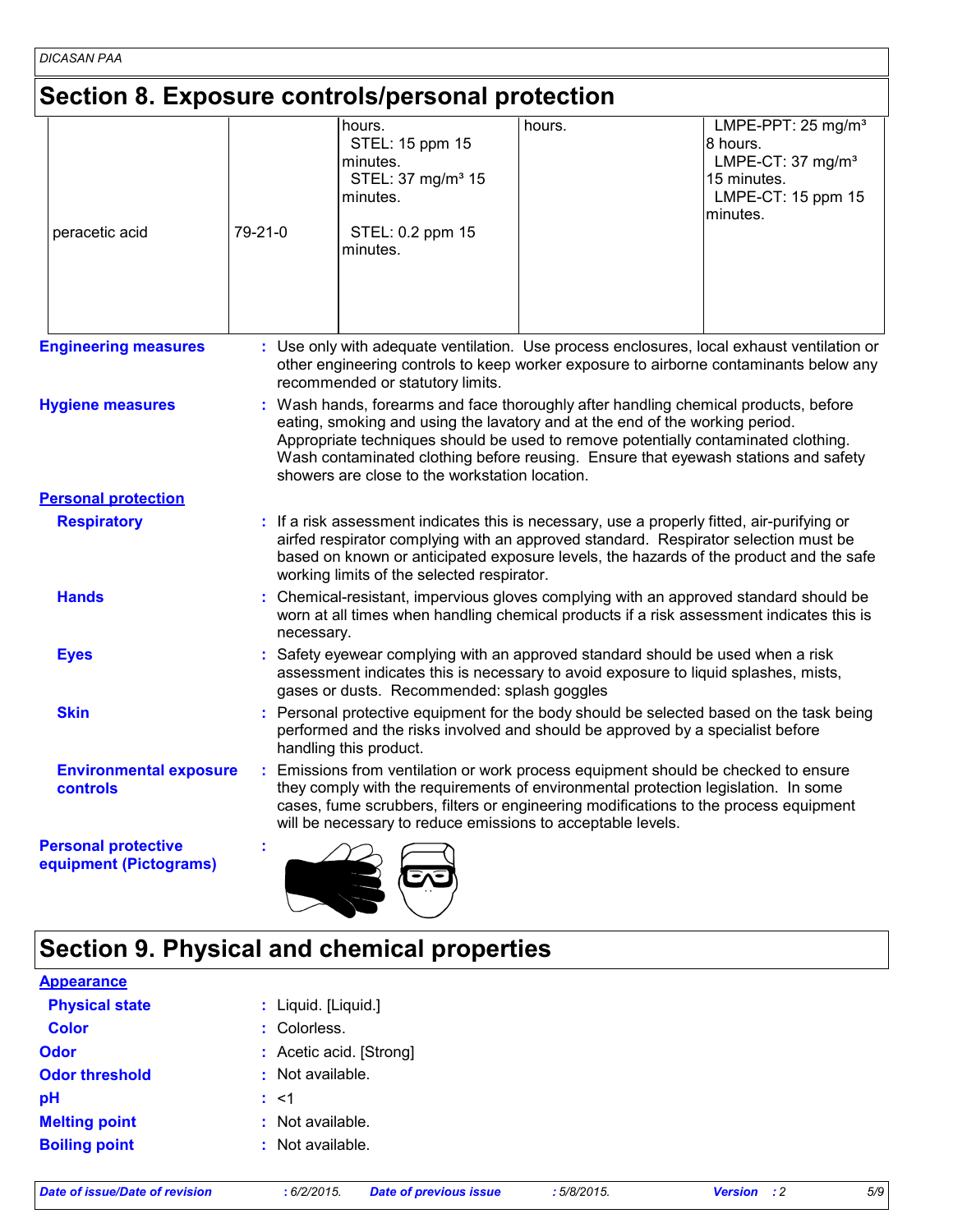# **Section 8. Exposure controls/personal protection**

| peracetic acid                                       | 79-21-0 | hours.<br>STEL: 15 ppm 15<br>minutes.<br>STEL: 37 mg/m <sup>3</sup> 15<br>minutes.<br>STEL: 0.2 ppm 15<br>minutes.                                                                                                                                                                                                                                                                                | hours. | LMPE-PPT: 25 mg/m <sup>3</sup><br>8 hours.<br>LMPE-CT: 37 mg/m <sup>3</sup><br>15 minutes.<br>LMPE-CT: 15 ppm 15<br>minutes. |  |  |  |
|------------------------------------------------------|---------|---------------------------------------------------------------------------------------------------------------------------------------------------------------------------------------------------------------------------------------------------------------------------------------------------------------------------------------------------------------------------------------------------|--------|------------------------------------------------------------------------------------------------------------------------------|--|--|--|
| <b>Engineering measures</b>                          |         | : Use only with adequate ventilation. Use process enclosures, local exhaust ventilation or<br>other engineering controls to keep worker exposure to airborne contaminants below any<br>recommended or statutory limits.                                                                                                                                                                           |        |                                                                                                                              |  |  |  |
| <b>Hygiene measures</b>                              |         | : Wash hands, forearms and face thoroughly after handling chemical products, before<br>eating, smoking and using the lavatory and at the end of the working period.<br>Appropriate techniques should be used to remove potentially contaminated clothing.<br>Wash contaminated clothing before reusing. Ensure that eyewash stations and safety<br>showers are close to the workstation location. |        |                                                                                                                              |  |  |  |
| <b>Personal protection</b>                           |         |                                                                                                                                                                                                                                                                                                                                                                                                   |        |                                                                                                                              |  |  |  |
| <b>Respiratory</b>                                   |         | : If a risk assessment indicates this is necessary, use a properly fitted, air-purifying or<br>airfed respirator complying with an approved standard. Respirator selection must be<br>based on known or anticipated exposure levels, the hazards of the product and the safe<br>working limits of the selected respirator.                                                                        |        |                                                                                                                              |  |  |  |
| <b>Hands</b>                                         |         | : Chemical-resistant, impervious gloves complying with an approved standard should be<br>worn at all times when handling chemical products if a risk assessment indicates this is<br>necessary.                                                                                                                                                                                                   |        |                                                                                                                              |  |  |  |
| <b>Eyes</b>                                          |         | : Safety eyewear complying with an approved standard should be used when a risk<br>assessment indicates this is necessary to avoid exposure to liquid splashes, mists,<br>gases or dusts. Recommended: splash goggles                                                                                                                                                                             |        |                                                                                                                              |  |  |  |
| <b>Skin</b>                                          |         | : Personal protective equipment for the body should be selected based on the task being<br>performed and the risks involved and should be approved by a specialist before<br>handling this product.                                                                                                                                                                                               |        |                                                                                                                              |  |  |  |
| <b>Environmental exposure</b><br>controls            |         | : Emissions from ventilation or work process equipment should be checked to ensure<br>they comply with the requirements of environmental protection legislation. In some<br>cases, fume scrubbers, filters or engineering modifications to the process equipment<br>will be necessary to reduce emissions to acceptable levels.                                                                   |        |                                                                                                                              |  |  |  |
| <b>Personal protective</b><br>equipment (Pictograms) |         |                                                                                                                                                                                                                                                                                                                                                                                                   |        |                                                                                                                              |  |  |  |

## **Section 9. Physical and chemical properties**

| <b>Appearance</b>     |                         |
|-----------------------|-------------------------|
| <b>Physical state</b> | : Liquid. [Liquid.]     |
| <b>Color</b>          | : Colorless.            |
| <b>Odor</b>           | : Acetic acid. [Strong] |
| <b>Odor threshold</b> | : Not available.        |
| pH                    | $\therefore$ <1         |
| <b>Melting point</b>  | : Not available.        |
| <b>Boiling point</b>  | : Not available.        |
|                       |                         |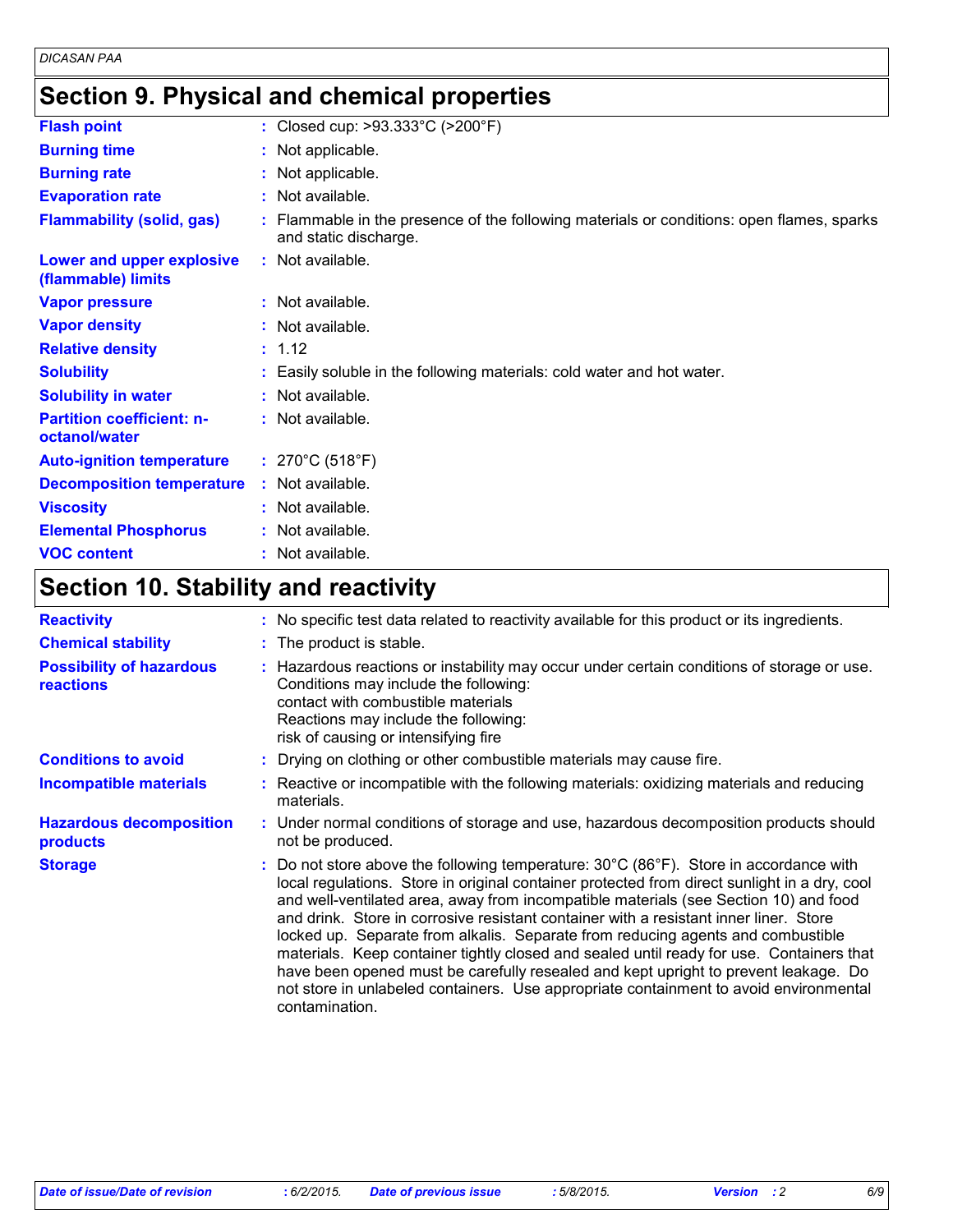## **Section 9. Physical and chemical properties**

| <b>Flash point</b>                                | : Closed cup: $>93.333^{\circ}$ C ( $>200^{\circ}$ F)                                                              |
|---------------------------------------------------|--------------------------------------------------------------------------------------------------------------------|
| <b>Burning time</b>                               | : Not applicable.                                                                                                  |
| <b>Burning rate</b>                               | : Not applicable.                                                                                                  |
| <b>Evaporation rate</b>                           | : Not available.                                                                                                   |
| <b>Flammability (solid, gas)</b>                  | : Flammable in the presence of the following materials or conditions: open flames, sparks<br>and static discharge. |
| Lower and upper explosive<br>(flammable) limits   | : Not available.                                                                                                   |
| <b>Vapor pressure</b>                             | : Not available.                                                                                                   |
| <b>Vapor density</b>                              | : Not available.                                                                                                   |
| <b>Relative density</b>                           | : 1.12                                                                                                             |
| <b>Solubility</b>                                 | : Easily soluble in the following materials: cold water and hot water.                                             |
| <b>Solubility in water</b>                        | : Not available.                                                                                                   |
| <b>Partition coefficient: n-</b><br>octanol/water | : Not available.                                                                                                   |
| <b>Auto-ignition temperature</b>                  | : $270^{\circ}$ C (518 $^{\circ}$ F)                                                                               |
| <b>Decomposition temperature</b>                  | : Not available.                                                                                                   |
| <b>Viscosity</b>                                  | : Not available.                                                                                                   |
| <b>Elemental Phosphorus</b>                       | : Not available.                                                                                                   |
| <b>VOC content</b>                                | : Not available.                                                                                                   |

## **Section 10. Stability and reactivity**

| <b>Reactivity</b>                            | : No specific test data related to reactivity available for this product or its ingredients.                                                                                                                                                                                                                                                                                                                                                                                                                                                                                                                                                                                                                                                                               |  |  |  |
|----------------------------------------------|----------------------------------------------------------------------------------------------------------------------------------------------------------------------------------------------------------------------------------------------------------------------------------------------------------------------------------------------------------------------------------------------------------------------------------------------------------------------------------------------------------------------------------------------------------------------------------------------------------------------------------------------------------------------------------------------------------------------------------------------------------------------------|--|--|--|
| <b>Chemical stability</b>                    | : The product is stable.                                                                                                                                                                                                                                                                                                                                                                                                                                                                                                                                                                                                                                                                                                                                                   |  |  |  |
| <b>Possibility of hazardous</b><br>reactions | : Hazardous reactions or instability may occur under certain conditions of storage or use.<br>Conditions may include the following:<br>contact with combustible materials<br>Reactions may include the following:<br>risk of causing or intensifying fire                                                                                                                                                                                                                                                                                                                                                                                                                                                                                                                  |  |  |  |
| <b>Conditions to avoid</b>                   | : Drying on clothing or other combustible materials may cause fire.                                                                                                                                                                                                                                                                                                                                                                                                                                                                                                                                                                                                                                                                                                        |  |  |  |
| Incompatible materials                       | Reactive or incompatible with the following materials: oxidizing materials and reducing<br>materials.                                                                                                                                                                                                                                                                                                                                                                                                                                                                                                                                                                                                                                                                      |  |  |  |
| <b>Hazardous decomposition</b><br>products   | : Under normal conditions of storage and use, hazardous decomposition products should<br>not be produced.                                                                                                                                                                                                                                                                                                                                                                                                                                                                                                                                                                                                                                                                  |  |  |  |
| <b>Storage</b>                               | Do not store above the following temperature: $30^{\circ}$ C (86 $^{\circ}$ F). Store in accordance with<br>local regulations. Store in original container protected from direct sunlight in a dry, cool<br>and well-ventilated area, away from incompatible materials (see Section 10) and food<br>and drink. Store in corrosive resistant container with a resistant inner liner. Store<br>locked up. Separate from alkalis. Separate from reducing agents and combustible<br>materials. Keep container tightly closed and sealed until ready for use. Containers that<br>have been opened must be carefully resealed and kept upright to prevent leakage. Do<br>not store in unlabeled containers. Use appropriate containment to avoid environmental<br>contamination. |  |  |  |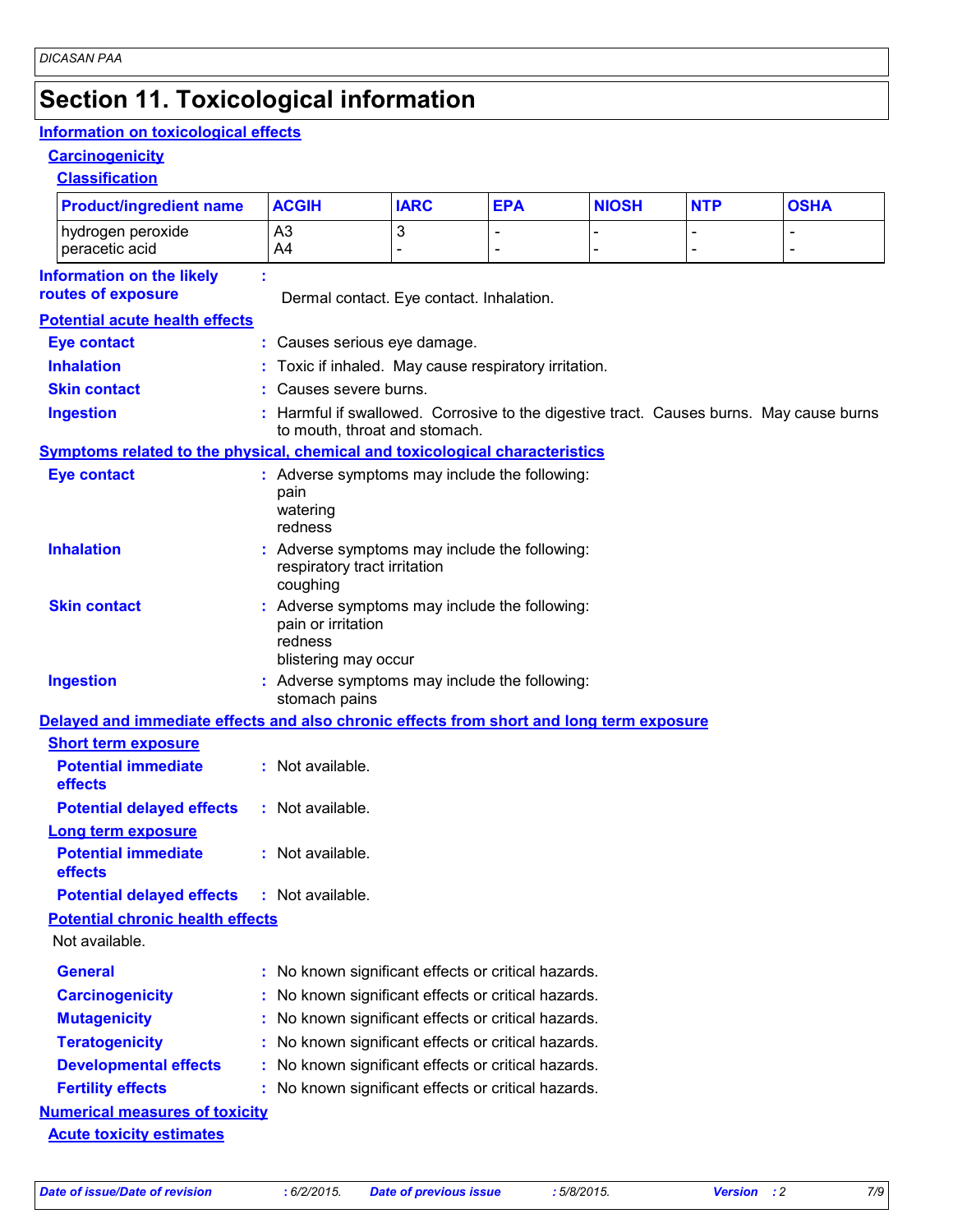## **Section 11. Toxicological information**

#### **Information on toxicological effects**

#### **Carcinogenicity**

**Classification**

| <b>Product/ingredient name</b>                                                           |    | <b>ACGIH</b>                                                                                                             | <b>IARC</b>         | <b>EPA</b>     | <b>NIOSH</b> | <b>NTP</b>     | <b>OSHA</b>                      |  |  |
|------------------------------------------------------------------------------------------|----|--------------------------------------------------------------------------------------------------------------------------|---------------------|----------------|--------------|----------------|----------------------------------|--|--|
| hydrogen peroxide<br>peracetic acid                                                      |    | A <sub>3</sub><br>A4                                                                                                     | 3<br>$\overline{a}$ | $\blacksquare$ |              | $\blacksquare$ | $\blacksquare$<br>$\blacksquare$ |  |  |
| <b>Information on the likely</b><br>routes of exposure                                   |    | Dermal contact. Eye contact. Inhalation.                                                                                 |                     |                |              |                |                                  |  |  |
| <b>Potential acute health effects</b>                                                    |    |                                                                                                                          |                     |                |              |                |                                  |  |  |
| <b>Eye contact</b>                                                                       |    | : Causes serious eye damage.                                                                                             |                     |                |              |                |                                  |  |  |
| <b>Inhalation</b>                                                                        |    | : Toxic if inhaled. May cause respiratory irritation.                                                                    |                     |                |              |                |                                  |  |  |
| <b>Skin contact</b>                                                                      |    | Causes severe burns.                                                                                                     |                     |                |              |                |                                  |  |  |
| <b>Ingestion</b>                                                                         |    | : Harmful if swallowed. Corrosive to the digestive tract. Causes burns. May cause burns<br>to mouth, throat and stomach. |                     |                |              |                |                                  |  |  |
| <b>Symptoms related to the physical, chemical and toxicological characteristics</b>      |    |                                                                                                                          |                     |                |              |                |                                  |  |  |
| <b>Eye contact</b>                                                                       |    | : Adverse symptoms may include the following:<br>pain<br>watering<br>redness                                             |                     |                |              |                |                                  |  |  |
| <b>Inhalation</b>                                                                        |    | : Adverse symptoms may include the following:<br>respiratory tract irritation<br>coughing                                |                     |                |              |                |                                  |  |  |
| <b>Skin contact</b>                                                                      |    | : Adverse symptoms may include the following:<br>pain or irritation<br>redness<br>blistering may occur                   |                     |                |              |                |                                  |  |  |
| <b>Ingestion</b>                                                                         |    | : Adverse symptoms may include the following:<br>stomach pains                                                           |                     |                |              |                |                                  |  |  |
| Delayed and immediate effects and also chronic effects from short and long term exposure |    |                                                                                                                          |                     |                |              |                |                                  |  |  |
| <b>Short term exposure</b>                                                               |    |                                                                                                                          |                     |                |              |                |                                  |  |  |
| <b>Potential immediate</b><br>effects                                                    |    | : Not available.                                                                                                         |                     |                |              |                |                                  |  |  |
| <b>Potential delayed effects</b>                                                         |    | : Not available.                                                                                                         |                     |                |              |                |                                  |  |  |
| <b>Long term exposure</b>                                                                |    |                                                                                                                          |                     |                |              |                |                                  |  |  |
| <b>Potential immediate</b><br>effects                                                    |    | : Not available.                                                                                                         |                     |                |              |                |                                  |  |  |
| <b>Potential delayed effects</b>                                                         |    | : Not available.                                                                                                         |                     |                |              |                |                                  |  |  |
| <b>Potential chronic health effects</b>                                                  |    |                                                                                                                          |                     |                |              |                |                                  |  |  |
| Not available.                                                                           |    |                                                                                                                          |                     |                |              |                |                                  |  |  |
| <b>General</b>                                                                           |    | : No known significant effects or critical hazards.                                                                      |                     |                |              |                |                                  |  |  |
| <b>Carcinogenicity</b>                                                                   |    | : No known significant effects or critical hazards.                                                                      |                     |                |              |                |                                  |  |  |
| <b>Mutagenicity</b>                                                                      | t. | No known significant effects or critical hazards.                                                                        |                     |                |              |                |                                  |  |  |
| <b>Teratogenicity</b>                                                                    |    | No known significant effects or critical hazards.                                                                        |                     |                |              |                |                                  |  |  |
| <b>Developmental effects</b>                                                             |    | : No known significant effects or critical hazards.                                                                      |                     |                |              |                |                                  |  |  |
| <b>Fertility effects</b>                                                                 |    | : No known significant effects or critical hazards.                                                                      |                     |                |              |                |                                  |  |  |
| <b>Numerical measures of toxicity</b>                                                    |    |                                                                                                                          |                     |                |              |                |                                  |  |  |
| <b>Acute toxicity estimates</b>                                                          |    |                                                                                                                          |                     |                |              |                |                                  |  |  |
|                                                                                          |    |                                                                                                                          |                     |                |              |                |                                  |  |  |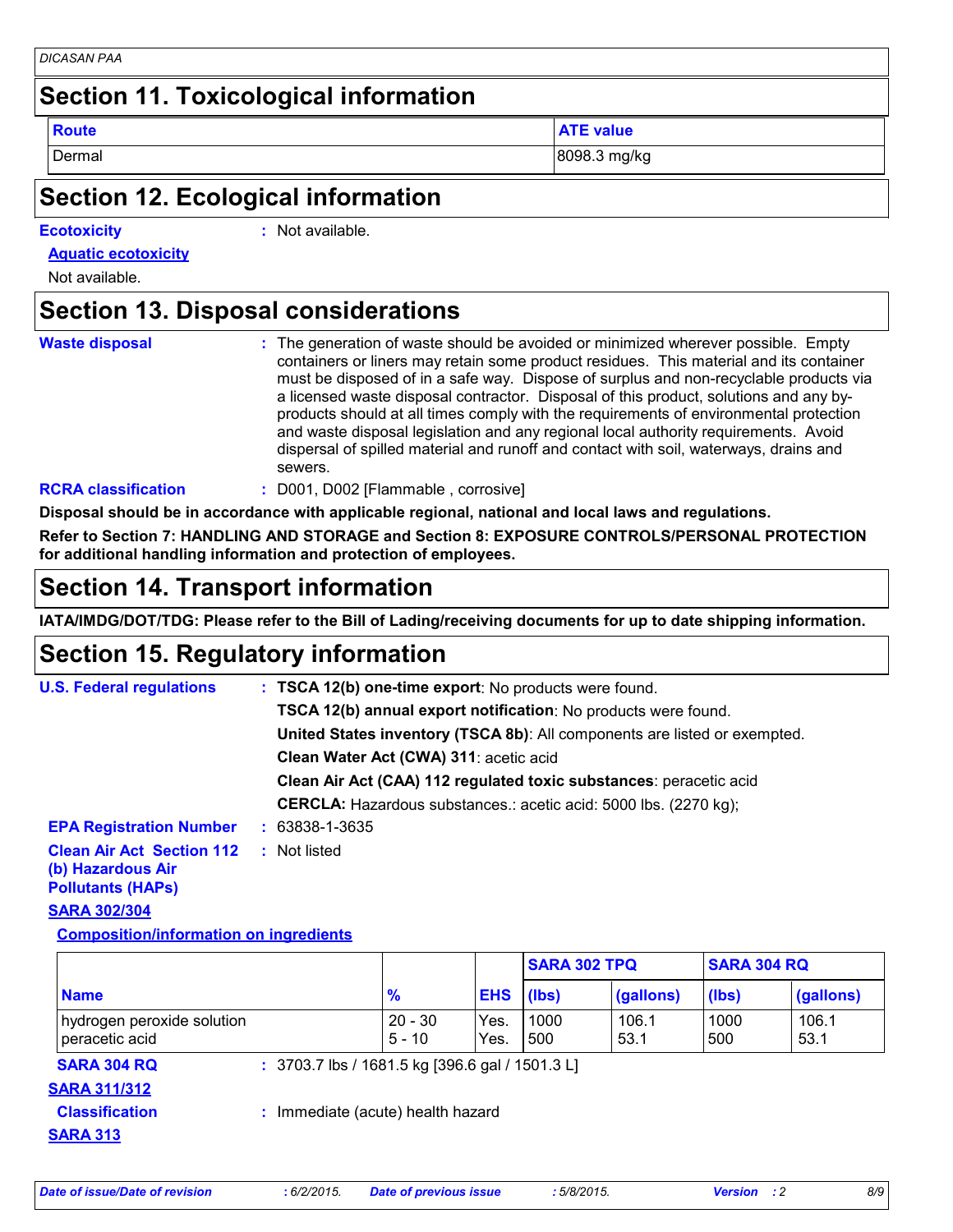| DICASAN PAA |  |
|-------------|--|
|             |  |

## **Section 11. Toxicological information**

**Route ATE value**

Dermal 8098.3 mg/kg

#### **Section 12. Ecological information**

| <b>Ecotoxicity</b> |  |
|--------------------|--|
|                    |  |
|                    |  |

**Ecotoxicity :** Not available.

**Aquatic ecotoxicity**

Not available.

#### **Section 13. Disposal considerations**

| <b>Waste disposal</b> | : The generation of waste should be avoided or minimized wherever possible. Empty      |
|-----------------------|----------------------------------------------------------------------------------------|
|                       | containers or liners may retain some product residues. This material and its container |
|                       | must be disposed of in a safe way. Dispose of surplus and non-recyclable products via  |
|                       | a licensed waste disposal contractor. Disposal of this product, solutions and any by-  |
|                       | products should at all times comply with the requirements of environmental protection  |
|                       | and waste disposal legislation and any regional local authority requirements. Avoid    |
|                       | dispersal of spilled material and runoff and contact with soil, waterways, drains and  |
|                       | sewers.                                                                                |

#### **RCRA classification :** D001, D002 [Flammable , corrosive]

**Disposal should be in accordance with applicable regional, national and local laws and regulations.**

**Refer to Section 7: HANDLING AND STORAGE and Section 8: EXPOSURE CONTROLS/PERSONAL PROTECTION for additional handling information and protection of employees.**

## **Section 14. Transport information**

**IATA/IMDG/DOT/TDG: Please refer to the Bill of Lading/receiving documents for up to date shipping information.**

## **Section 15. Regulatory information**

| <b>U.S. Federal regulations</b>                                                   | : TSCA 12(b) one-time export: No products were found.                     |  |
|-----------------------------------------------------------------------------------|---------------------------------------------------------------------------|--|
|                                                                                   | TSCA 12(b) annual export notification: No products were found.            |  |
|                                                                                   | United States inventory (TSCA 8b): All components are listed or exempted. |  |
|                                                                                   | Clean Water Act (CWA) 311: acetic acid                                    |  |
|                                                                                   | Clean Air Act (CAA) 112 regulated toxic substances: peracetic acid        |  |
|                                                                                   | <b>CERCLA:</b> Hazardous substances.: acetic acid: 5000 lbs. (2270 kg);   |  |
| <b>EPA Registration Number</b>                                                    | $: 63838 - 1 - 3635$                                                      |  |
| <b>Clean Air Act Section 112</b><br>(b) Hazardous Air<br><b>Pollutants (HAPS)</b> | : Not listed                                                              |  |

#### **SARA 302/304**

**Composition/information on ingredients**

|                                              |                                                 |                       |              | <b>SARA 302 TPQ</b> |               | <b>SARA 304 RQ</b> |               |
|----------------------------------------------|-------------------------------------------------|-----------------------|--------------|---------------------|---------------|--------------------|---------------|
| <b>Name</b>                                  |                                                 | $\frac{9}{6}$         | <b>EHS</b>   | $(\mathsf{libs})$   | (gallons)     | (lbs)              | (gallons)     |
| hydrogen peroxide solution<br>peracetic acid |                                                 | $20 - 30$<br>$5 - 10$ | Yes.<br>Yes. | 1000<br>500         | 106.1<br>53.1 | 1000<br>500        | 106.1<br>53.1 |
| <b>SARA 304 RQ</b><br><b>SARA 311/312</b>    | : 3703.7 lbs / 1681.5 kg [396.6 gal / 1501.3 L] |                       |              |                     |               |                    |               |
| <b>Classification</b><br><b>SARA 313</b>     | : Immediate (acute) health hazard               |                       |              |                     |               |                    |               |